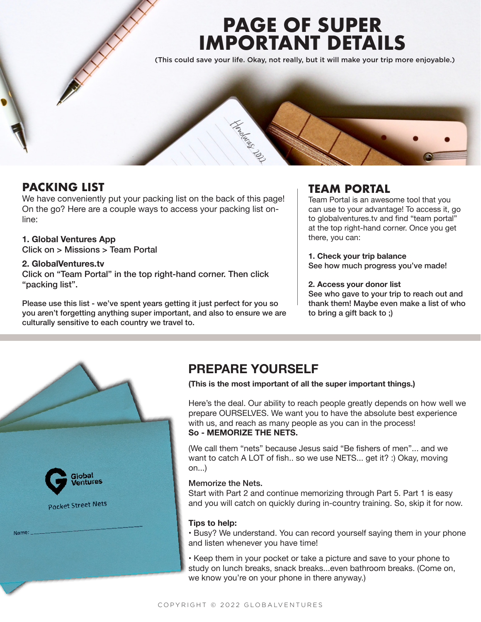# **PAGE OF SUPER IMPORTANT DETAILS**

(This could save your life. Okay, not really, but it will make your trip more enjoyable.)



### **PACKING LIST**

We have conveniently put your packing list on the back of this page! On the go? Here are a couple ways to access your packing list online:

#### **1. Global Ventures App**

Click on > Missions > Team Portal

#### **2. GlobalVentures.tv**

Click on "Team Portal" in the top right-hand corner. Then click "packing list".

Please use this list - we've spent years getting it just perfect for you so you aren't forgetting anything super important, and also to ensure we are culturally sensitive to each country we travel to.

### **TEAM PORTAL**

Team Portal is an awesome tool that you can use to your advantage! To access it, go to globalventures.tv and find "team portal" at the top right-hand corner. Once you get there, you can:

**1. Check your trip balance** See how much progress you've made!

#### **2. Access your donor list**

See who gave to your trip to reach out and thank them! Maybe even make a list of who to bring a gift back to ;)



## **PREPARE YOURSELF**

**(This is the most important of all the super important things.)**

Here's the deal. Our ability to reach people greatly depends on how well we prepare OURSELVES. We want you to have the absolute best experience with us, and reach as many people as you can in the process! **So - MEMORIZE THE NETS.** 

(We call them "nets" because Jesus said "Be fishers of men"... and we want to catch A LOT of fish.. so we use NETS... get it? :) Okay, moving on...)

#### Memorize the Nets.

Start with Part 2 and continue memorizing through Part 5. Part 1 is easy and you will catch on quickly during in-country training. So, skip it for now.

#### **Tips to help:**

• Busy? We understand. You can record yourself saying them in your phone and listen whenever you have time!

• Keep them in your pocket or take a picture and save to your phone to study on lunch breaks, snack breaks...even bathroom breaks. (Come on, we know you're on your phone in there anyway.)